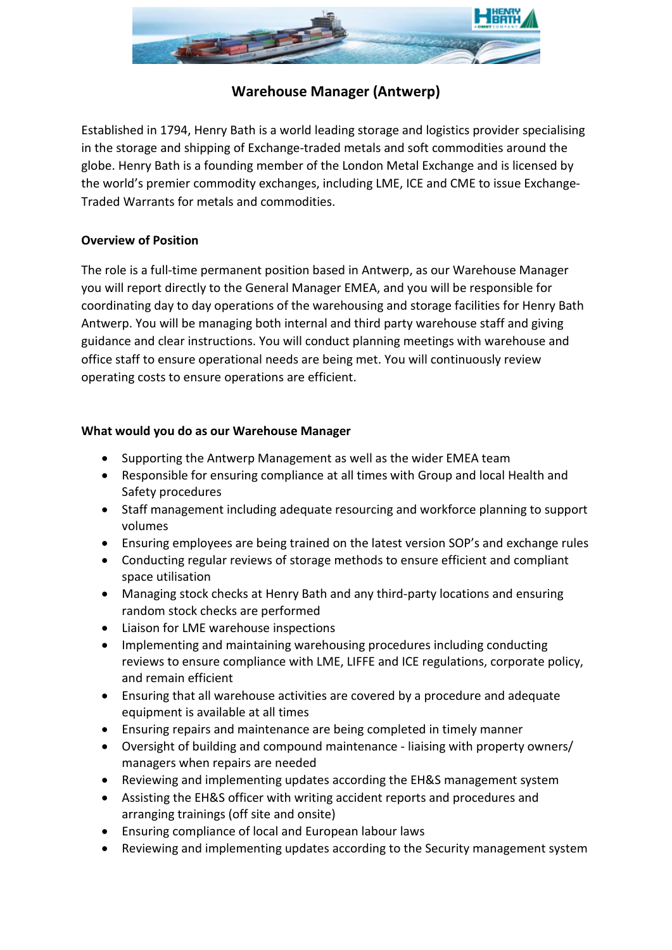

# **Warehouse Manager (Antwerp)**

Established in 1794, Henry Bath is a world leading storage and logistics provider specialising in the storage and shipping of Exchange-traded metals and soft commodities around the globe. Henry Bath is a founding member of the London Metal Exchange and is licensed by the world's premier commodity exchanges, including LME, ICE and CME to issue Exchange-Traded Warrants for metals and commodities.

## **Overview of Position**

The role is a full-time permanent position based in Antwerp, as our Warehouse Manager you will report directly to the General Manager EMEA, and you will be responsible for coordinating day to day operations of the warehousing and storage facilities for Henry Bath Antwerp. You will be managing both internal and third party warehouse staff and giving guidance and clear instructions. You will conduct planning meetings with warehouse and office staff to ensure operational needs are being met. You will continuously review operating costs to ensure operations are efficient.

### **What would you do as our Warehouse Manager**

- Supporting the Antwerp Management as well as the wider EMEA team
- Responsible for ensuring compliance at all times with Group and local Health and Safety procedures
- Staff management including adequate resourcing and workforce planning to support volumes
- Ensuring employees are being trained on the latest version SOP's and exchange rules
- Conducting regular reviews of storage methods to ensure efficient and compliant space utilisation
- Managing stock checks at Henry Bath and any third-party locations and ensuring random stock checks are performed
- Liaison for LME warehouse inspections
- Implementing and maintaining warehousing procedures including conducting reviews to ensure compliance with LME, LIFFE and ICE regulations, corporate policy, and remain efficient
- Ensuring that all warehouse activities are covered by a procedure and adequate equipment is available at all times
- Ensuring repairs and maintenance are being completed in timely manner
- Oversight of building and compound maintenance liaising with property owners/ managers when repairs are needed
- Reviewing and implementing updates according the EH&S management system
- Assisting the EH&S officer with writing accident reports and procedures and arranging trainings (off site and onsite)
- Ensuring compliance of local and European labour laws
- Reviewing and implementing updates according to the Security management system